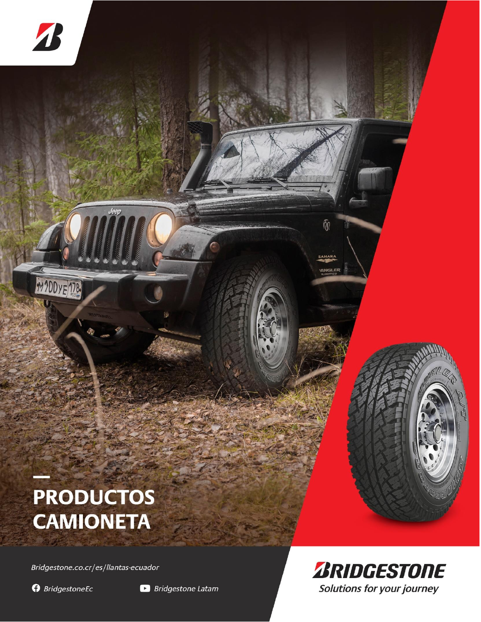

Jeep

Bridgestone.co.cr/es/llantas-ecuador

**O** BridgestoneEc

 $\boldsymbol{A}$ 

MY 200YE 178





 $\widehat{m}$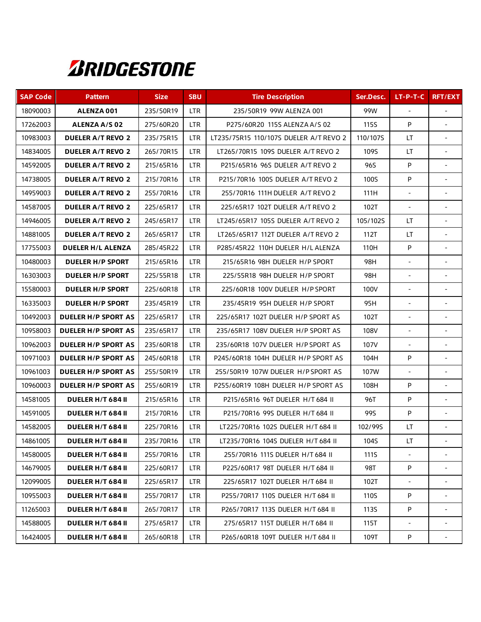## **ZRIDGESTONE**

| <b>SAP Code</b> | <b>Pattern</b>             | <b>Size</b> | <b>SBU</b> | <b>Tire Description</b>                | Ser.Desc.   | $LT-P-T-C$               | <b>RFT/EXT</b>           |
|-----------------|----------------------------|-------------|------------|----------------------------------------|-------------|--------------------------|--------------------------|
| 18090003        | ALENZA 001                 | 235/50R19   | <b>LTR</b> | 235/50R19 99W ALENZA 001               | 99W         | $\blacksquare$           |                          |
| 17262003        | ALENZA A/S 02              | 275/60R20   | <b>LTR</b> | P275/60R20 115S ALENZA A/S 02          | <b>115S</b> | P                        | $\sim$                   |
| 10983003        | <b>DUELER A/T REVO 2</b>   | 235/75R15   | <b>LTR</b> | LT235/75R15 110/107S DUELER A/T REVO 2 | 110/107S    | LT.                      |                          |
| 14834005        | <b>DUELER A/T REVO 2</b>   | 265/70R15   | <b>LTR</b> | LT265/70R15 109S DUELER A/T REVO 2     | 109S        | LT                       | $\sim$                   |
| 14592005        | <b>DUELER A/T REVO 2</b>   | 215/65R16   | <b>LTR</b> | P215/65R16 96S DUELER A/T REVO 2       | 96S         | P                        |                          |
| 14738005        | <b>DUELER A/T REVO 2</b>   | 215/70R16   | <b>LTR</b> | P215/70R16 100S DUELER A/T REVO 2      | 100S        | P                        |                          |
| 14959003        | <b>DUELER A/T REVO 2</b>   | 255/70R16   | <b>LTR</b> | 255/70R16 111H DUELER A/T REVO 2       | 111H        | $\overline{\phantom{0}}$ |                          |
| 14587005        | <b>DUELER A/T REVO 2</b>   | 225/65R17   | <b>LTR</b> | 225/65R17 102T DUELER A/T REVO 2       | 102T        | $\blacksquare$           |                          |
| 14946005        | <b>DUELER A/T REVO 2</b>   | 245/65R17   | <b>LTR</b> | LT245/65R17 105S DUELER A/T REVO 2     | 105/102S    | LT.                      |                          |
| 14881005        | <b>DUELER A/T REVO 2</b>   | 265/65R17   | <b>LTR</b> | LT265/65R17 112T DUELER A/T REVO 2     | 112T        | LT                       |                          |
| 17755003        | <b>DUELER H/L ALENZA</b>   | 285/45R22   | <b>LTR</b> | P285/45R22 110H DUELER H/L ALENZA      | 110H        | P                        |                          |
| 10480003        | <b>DUELER H/P SPORT</b>    | 215/65R16   | <b>LTR</b> | 215/65R16 98H DUELER H/P SPORT         | 98H         | $\blacksquare$           |                          |
| 16303003        | <b>DUELER H/P SPORT</b>    | 225/55R18   | <b>LTR</b> | 225/55R18 98H DUELER H/P SPORT         | 98H         | $\blacksquare$           | $\overline{\phantom{a}}$ |
| 15580003        | <b>DUELER H/P SPORT</b>    | 225/60R18   | <b>LTR</b> | 225/60R18 100V DUELER H/P SPORT        | 100V        | $\blacksquare$           | $\blacksquare$           |
| 16335003        | <b>DUELER H/P SPORT</b>    | 235/45R19   | LTR        | 235/45R19 95H DUELER H/P SPORT         | 95H         | $\blacksquare$           |                          |
| 10492003        | <b>DUELER H/P SPORT AS</b> | 225/65R17   | <b>LTR</b> | 225/65R17 102T DUELER H/P SPORT AS     | 102T        | $\blacksquare$           |                          |
| 10958003        | <b>DUELER H/P SPORT AS</b> | 235/65R17   | <b>LTR</b> | 235/65R17 108V DUELER H/P SPORT AS     | 108V        | $\overline{\phantom{a}}$ | $\overline{\phantom{a}}$ |
| 10962003        | <b>DUELER H/P SPORT AS</b> | 235/60R18   | <b>LTR</b> | 235/60R18 107V DUELER H/P SPORT AS     | 107V        | ÷.                       |                          |
| 10971003        | <b>DUELER H/P SPORT AS</b> | 245/60R18   | <b>LTR</b> | P245/60R18 104H DUELER H/P SPORT AS    | 104H        | P                        |                          |
| 10961003        | <b>DUELER H/P SPORT AS</b> | 255/50R19   | <b>LTR</b> | 255/50R19 107W DUELER H/P SPORT AS     | 107W        |                          |                          |
| 10960003        | <b>DUELER H/P SPORT AS</b> | 255/60R19   | <b>LTR</b> | P255/60R19 108H DUELER H/P SPORT AS    | 108H        | P                        |                          |
| 14581005        | DUELER H/T 684 II          | 215/65R16   | <b>LTR</b> | P215/65R16 96T DUELER H/T 684 II       | 96T         | $\mathsf{P}$             |                          |
| 14591005        | DUELER H/T 684 II          | 215/70R16   | <b>LTR</b> | P215/70R16 99S DUELER H/T 684 II       | 99S         | $\mathsf{P}$             |                          |
| 14582005        | DUELER H/T 684 II          | 225/70R16   | <b>LTR</b> | LT225/70R16 102S DUELER H/T 684 II     | 102/99S     | LT.                      |                          |
| 14861005        | DUELER H/T 684 II          | 235/70R16   | LTR        | LT235/70R16 104S DUELER H/T 684 II     | 104S        | LT                       |                          |
| 14580005        | DUELER H/T 684 II          | 255/70R16   | <b>LTR</b> | 255/70R16 111S DUELER H/T 684 II       | 111S        | $\blacksquare$           |                          |
| 14679005        | DUELER H/T 684 II          | 225/60R17   | LTR.       | P225/60R17 98T DUELER H/T 684 II       | 98T         | P                        |                          |
| 12099005        | DUELER H/T 684 II          | 225/65R17   | LTR.       | 225/65R17 102T DUELER H/T 684 II       | 102T        |                          |                          |
| 10955003        | DUELER H/T 684 II          | 255/70R17   | <b>LTR</b> | P255/70R17 110S DUELER H/T 684 II      | 110S        | P                        |                          |
| 11265003        | DUELER H/T 684 II          | 265/70R17   | LTR.       | P265/70R17 113S DUELER H/T 684 II      | 113S        | P                        |                          |
| 14588005        | <b>DUELER H/T 684 II</b>   | 275/65R17   | <b>LTR</b> | 275/65R17 115T DUELER H/T 684 II       | 115T        |                          |                          |
| 16424005        | DUELER H/T 684 II          | 265/60R18   | LTR        | P265/60R18 109T DUELER H/T 684 II      | 109T        | P                        |                          |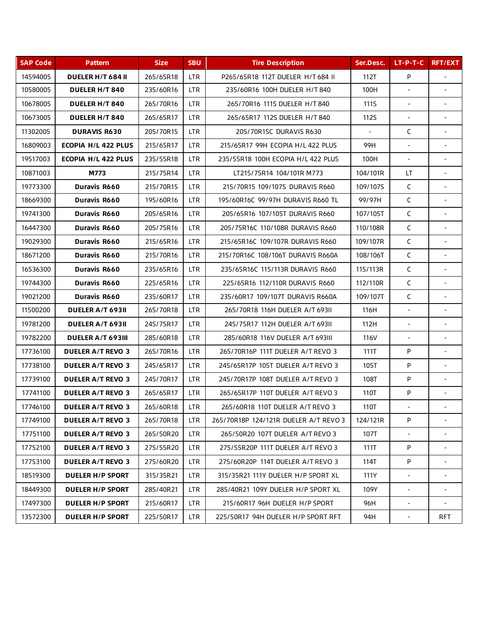| <b>SAP Code</b> | <b>Pattern</b>             | <b>Size</b> | <b>SBU</b> | <b>Tire Description</b>               | Ser.Desc.      | $LT-P-T-C$               | <b>RFT/EXT</b>           |
|-----------------|----------------------------|-------------|------------|---------------------------------------|----------------|--------------------------|--------------------------|
| 14594005        | DUELER H/T 684 II          | 265/65R18   | <b>LTR</b> | P265/65R18 112T DUELER H/T 684 II     | 112T           | P                        |                          |
| 10580005        | <b>DUELER H/T 840</b>      | 235/60R16   | <b>LTR</b> | 235/60R16 100H DUELER H/T 840         | 100H           |                          |                          |
| 10678005        | <b>DUELER H/T 840</b>      | 265/70R16   | <b>LTR</b> | 265/70R16 111S DUELER H/T 840         | 111S           | $\blacksquare$           |                          |
| 10673005        | <b>DUELER H/T 840</b>      | 265/65R17   | <b>LTR</b> | 265/65R17 112S DUELER H/T 840         | <b>112S</b>    | $\blacksquare$           | $\overline{\phantom{a}}$ |
| 11302005        | <b>DURAVIS R630</b>        | 205/70R15   | <b>LTR</b> | 205/70R15C DURAVIS R630               | $\blacksquare$ | C                        |                          |
| 16809003        | <b>ECOPIA H/L 422 PLUS</b> | 215/65R17   | <b>LTR</b> | 215/65R17 99H ECOPIA H/L 422 PLUS     | 99H            |                          |                          |
| 19517003        | ECOPIA H/L 422 PLUS        | 235/55R18   | <b>LTR</b> | 235/55R18 100H ECOPIA H/L 422 PLUS    | 100H           |                          |                          |
| 10871003        | M773                       | 215/75R14   | <b>LTR</b> | LT215/75R14 104/101R M773             | 104/101R       | LT                       |                          |
| 19773300        | Duravis R660               | 215/70R15   | <b>LTR</b> | 215/70R15 109/107S DURAVIS R660       | 109/107S       | $\mathsf{C}$             |                          |
| 18669300        | Duravis R660               | 195/60R16   | <b>LTR</b> | 195/60R16C 99/97H DURAVIS R660 TL     | 99/97H         | $\mathsf C$              | $\blacksquare$           |
| 19741300        | Duravis R660               | 205/65R16   | <b>LTR</b> | 205/65R16 107/105T DURAVIS R660       | 107/105T       | $\mathsf{C}$             |                          |
| 16447300        | Duravis R660               | 205/75R16   | <b>LTR</b> | 205/75R16C 110/108R DURAVIS R660      | 110/108R       | $\mathsf{C}$             |                          |
| 19029300        | Duravis R660               | 215/65R16   | <b>LTR</b> | 215/65R16C 109/107R DURAVIS R660      | 109/107R       | $\mathsf{C}$             |                          |
| 18671200        | Duravis R660               | 215/70R16   | <b>LTR</b> | 215/70R16C 108/106T DURAVIS R660A     | 108/106T       | $\mathsf{C}$             | $\blacksquare$           |
| 16536300        | Duravis R660               | 235/65R16   | <b>LTR</b> | 235/65R16C 115/113R DURAVIS R660      | 115/113R       | $\mathsf{C}$             | $\blacksquare$           |
| 19744300        | Duravis R660               | 225/65R16   | <b>LTR</b> | 225/65R16 112/110R DURAVIS R660       | 112/110R       | $\mathsf{C}$             | $\blacksquare$           |
| 19021200        | Duravis R660               | 235/60R17   | <b>LTR</b> | 235/60R17 109/107T DURAVIS R660A      | 109/107T       | C                        | $\blacksquare$           |
| 11500200        | <b>DUELER A/T 693II</b>    | 265/70R18   | <b>LTR</b> | 265/70R18 116H DUELER A/T 693II       | 116H           | $\omega$                 |                          |
| 19781200        | <b>DUELER A/T 693II</b>    | 245/75R17   | <b>LTR</b> | 245/75R17 112H DUELER A/T 693II       | 112H           | $\overline{\phantom{a}}$ | $\overline{\phantom{a}}$ |
| 19782200        | DUELER A/T 693III          | 285/60R18   | <b>LTR</b> | 285/60R18 116V DUELER A/T 693III      | 116V           | $\sim$                   |                          |
| 17736100        | <b>DUELER A/T REVO 3</b>   | 265/70R16   | <b>LTR</b> | 265/70R16P 111T DUELER A/T REVO 3     | 111T           | P                        |                          |
| 17738100        | <b>DUELER A/T REVO 3</b>   | 245/65R17   | <b>LTR</b> | 245/65R17P 105T DUELER A/T REVO 3     | 105T           | P                        |                          |
| 17739100        | <b>DUELER A/T REVO 3</b>   | 245/70R17   | <b>LTR</b> | 245/70R17P 108T DUELER A/T REVO 3     | 108T           | P                        | $\sim$                   |
| 17741100        | <b>DUELER A/T REVO 3</b>   | 265/65R17   | <b>LTR</b> | 265/65R17P 110T DUELER A/T REVO 3     | 110T           | P                        |                          |
| 17746100        | <b>DUELER A/T REVO 3</b>   | 265/60R18   | LTR        | 265/60R18 110T DUELER A/T REVO 3      | 110T           |                          |                          |
| 17749100        | <b>DUELER A/T REVO 3</b>   | 265/70R18   | LTR.       | 265/70R18P 124/121R DUELER A/T REVO 3 | 124/121R       | P                        |                          |
| 17751100        | <b>DUELER A/T REVO 3</b>   | 265/50R20   | LTR.       | 265/50R20 107T DUELER A/T REVO 3      | 107T           |                          |                          |
| 17752100        | <b>DUELER A/T REVO 3</b>   | 275/55R20   | LTR.       | 275/55R20P 111T DUELER A/T REVO 3     | 111T           | P                        |                          |
| 17753100        | <b>DUELER A/T REVO 3</b>   | 275/60R20   | LTR.       | 275/60R20P 114T DUELER A/T REVO 3     | 114T           | P                        |                          |
| 18519300        | <b>DUELER H/P SPORT</b>    | 315/35R21   | LTR.       | 315/35R21 111Y DUELER H/P SPORT XL    | 111Y           |                          |                          |
| 18449300        | <b>DUELER H/P SPORT</b>    | 285/40R21   | LTR.       | 285/40R21 109Y DUELER H/P SPORT XL    | 109Y           | $\overline{\phantom{a}}$ |                          |
| 17497300        | <b>DUELER H/P SPORT</b>    | 215/60R17   | <b>LTR</b> | 215/60R17 96H DUELER H/P SPORT        | 96H            | $\blacksquare$           |                          |
| 13572300        | <b>DUELER H/P SPORT</b>    | 225/50R17   | LTR.       | 225/50R17 94H DUELER H/P SPORT RFT    | 94H            | $\overline{\phantom{a}}$ | <b>RFT</b>               |